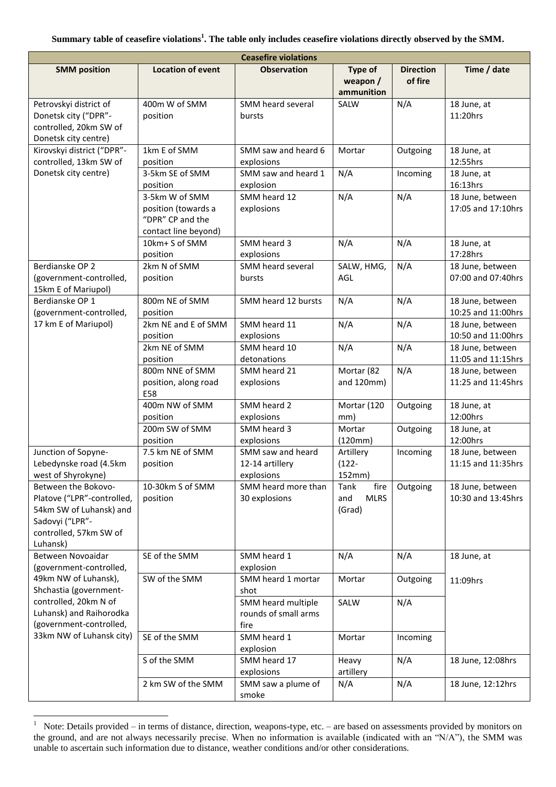| <b>Ceasefire violations</b>                                                                                                           |                                                                                   |                                                    |                                              |                             |                                        |  |  |
|---------------------------------------------------------------------------------------------------------------------------------------|-----------------------------------------------------------------------------------|----------------------------------------------------|----------------------------------------------|-----------------------------|----------------------------------------|--|--|
| <b>SMM position</b>                                                                                                                   | <b>Location of event</b>                                                          | <b>Observation</b>                                 | <b>Type of</b><br>weapon /<br>ammunition     | <b>Direction</b><br>of fire | Time / date                            |  |  |
| Petrovskyi district of<br>Donetsk city ("DPR"-<br>controlled, 20km SW of<br>Donetsk city centre)                                      | 400m W of SMM<br>position                                                         | SMM heard several<br>bursts                        | SALW                                         | N/A                         | 18 June, at<br>11:20hrs                |  |  |
| Kirovskyi district ("DPR"-<br>controlled, 13km SW of<br>Donetsk city centre)                                                          | 1km E of SMM<br>position                                                          | SMM saw and heard 6<br>explosions                  | Mortar                                       | Outgoing                    | 18 June, at<br>12:55hrs                |  |  |
|                                                                                                                                       | 3-5km SE of SMM<br>position                                                       | SMM saw and heard 1<br>explosion                   | N/A                                          | Incoming                    | 18 June, at<br>16:13hrs                |  |  |
|                                                                                                                                       | 3-5km W of SMM<br>position (towards a<br>"DPR" CP and the<br>contact line beyond) | SMM heard 12<br>explosions                         | N/A                                          | N/A                         | 18 June, between<br>17:05 and 17:10hrs |  |  |
|                                                                                                                                       | 10km+ S of SMM<br>position                                                        | SMM heard 3<br>explosions                          | N/A                                          | N/A                         | 18 June, at<br>17:28hrs                |  |  |
| Berdianske OP 2<br>(government-controlled,<br>15km E of Mariupol)                                                                     | 2km N of SMM<br>position                                                          | SMM heard several<br>bursts                        | SALW, HMG,<br>AGL                            | N/A                         | 18 June, between<br>07:00 and 07:40hrs |  |  |
| Berdianske OP 1<br>(government-controlled,                                                                                            | 800m NE of SMM<br>position                                                        | SMM heard 12 bursts                                | N/A                                          | N/A                         | 18 June, between<br>10:25 and 11:00hrs |  |  |
| 17 km E of Mariupol)                                                                                                                  | 2km NE and E of SMM<br>position                                                   | SMM heard 11<br>explosions                         | N/A                                          | N/A                         | 18 June, between<br>10:50 and 11:00hrs |  |  |
|                                                                                                                                       | 2km NE of SMM<br>position                                                         | SMM heard 10<br>detonations                        | N/A                                          | N/A                         | 18 June, between<br>11:05 and 11:15hrs |  |  |
|                                                                                                                                       | 800m NNE of SMM<br>position, along road<br>E58                                    | SMM heard 21<br>explosions                         | Mortar (82<br>and $120mm$ )                  | N/A                         | 18 June, between<br>11:25 and 11:45hrs |  |  |
|                                                                                                                                       | 400m NW of SMM<br>position                                                        | SMM heard 2<br>explosions                          | Mortar (120<br>mm)                           | Outgoing                    | 18 June, at<br>12:00hrs                |  |  |
|                                                                                                                                       | 200m SW of SMM<br>position                                                        | SMM heard 3<br>explosions                          | Mortar<br>(120mm)                            | Outgoing                    | 18 June, at<br>12:00hrs                |  |  |
| Junction of Sopyne-<br>Lebedynske road (4.5km<br>west of Shyrokyne)                                                                   | 7.5 km NE of SMM<br>position                                                      | SMM saw and heard<br>12-14 artillery<br>explosions | Artillery<br>$(122 -$<br>152mm)              | Incoming                    | 18 June, between<br>11:15 and 11:35hrs |  |  |
| Between the Bokovo-<br>Platove ("LPR"-controlled,<br>54km SW of Luhansk) and<br>Sadovyi ("LPR"-<br>controlled, 57km SW of<br>Luhansk) | 10-30km S of SMM<br>position                                                      | SMM heard more than<br>30 explosions               | fire<br>Tank<br><b>MLRS</b><br>and<br>(Grad) | Outgoing                    | 18 June, between<br>10:30 and 13:45hrs |  |  |
| Between Novoaidar<br>(government-controlled,                                                                                          | SE of the SMM                                                                     | SMM heard 1<br>explosion                           | N/A                                          | N/A                         | 18 June, at                            |  |  |
| 49km NW of Luhansk),<br>Shchastia (government-                                                                                        | SW of the SMM                                                                     | SMM heard 1 mortar<br>shot                         | Mortar                                       | Outgoing                    | 11:09hrs                               |  |  |
| controlled, 20km N of<br>Luhansk) and Raihorodka<br>(government-controlled,                                                           |                                                                                   | SMM heard multiple<br>rounds of small arms<br>fire | SALW                                         | N/A                         |                                        |  |  |
| 33km NW of Luhansk city)                                                                                                              | SE of the SMM                                                                     | SMM heard 1<br>explosion                           | Mortar                                       | Incoming                    |                                        |  |  |
|                                                                                                                                       | S of the SMM                                                                      | SMM heard 17<br>explosions                         | Heavy<br>artillery                           | N/A                         | 18 June, 12:08hrs                      |  |  |
|                                                                                                                                       | 2 km SW of the SMM                                                                | SMM saw a plume of<br>smoke                        | N/A                                          | N/A                         | 18 June, 12:12hrs                      |  |  |

 $\frac{1}{1}$  Note: Details provided – in terms of distance, direction, weapons-type, etc. – are based on assessments provided by monitors on the ground, and are not always necessarily precise. When no information is available (indicated with an "N/A"), the SMM was unable to ascertain such information due to distance, weather conditions and/or other considerations.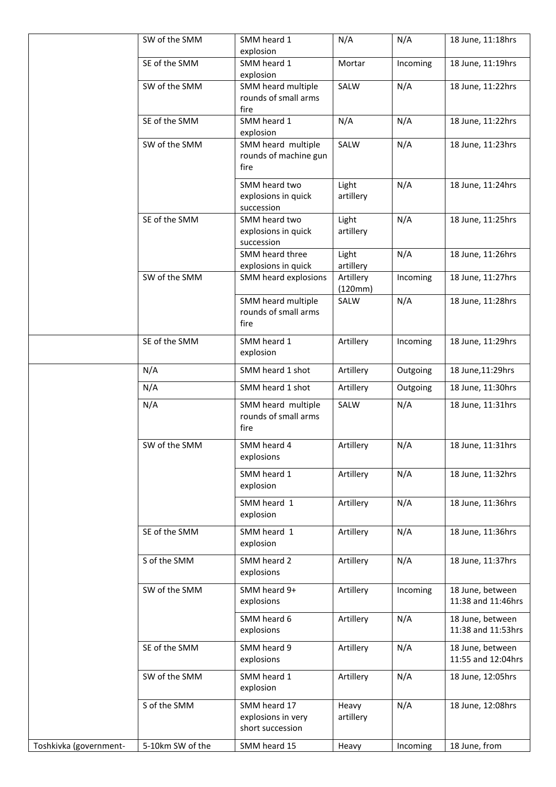|                        | SW of the SMM    | SMM heard 1<br>explosion                               | N/A                  | N/A      | 18 June, 11:18hrs                      |
|------------------------|------------------|--------------------------------------------------------|----------------------|----------|----------------------------------------|
|                        | SE of the SMM    | SMM heard 1<br>explosion                               | Mortar               | Incoming | 18 June, 11:19hrs                      |
|                        | SW of the SMM    | SMM heard multiple<br>rounds of small arms<br>fire     | SALW                 | N/A      | 18 June, 11:22hrs                      |
|                        | SE of the SMM    | SMM heard 1<br>explosion                               | N/A                  | N/A      | 18 June, 11:22hrs                      |
|                        | SW of the SMM    | SMM heard multiple<br>rounds of machine gun<br>fire    | SALW                 | N/A      | 18 June, 11:23hrs                      |
|                        |                  | SMM heard two<br>explosions in quick<br>succession     | Light<br>artillery   | N/A      | 18 June, 11:24hrs                      |
|                        | SE of the SMM    | SMM heard two<br>explosions in quick<br>succession     | Light<br>artillery   | N/A      | 18 June, 11:25hrs                      |
|                        |                  | SMM heard three<br>explosions in quick                 | Light<br>artillery   | N/A      | 18 June, 11:26hrs                      |
|                        | SW of the SMM    | SMM heard explosions                                   | Artillery<br>(120mm) | Incoming | 18 June, 11:27hrs                      |
|                        |                  | SMM heard multiple<br>rounds of small arms<br>fire     | SALW                 | N/A      | 18 June, 11:28hrs                      |
|                        | SE of the SMM    | SMM heard 1<br>explosion                               | Artillery            | Incoming | 18 June, 11:29hrs                      |
|                        | N/A              | SMM heard 1 shot                                       | Artillery            | Outgoing | 18 June, 11:29hrs                      |
|                        | N/A              | SMM heard 1 shot                                       | Artillery            | Outgoing | 18 June, 11:30hrs                      |
|                        | N/A              | SMM heard multiple<br>rounds of small arms<br>fire     | SALW                 | N/A      | 18 June, 11:31hrs                      |
|                        | SW of the SMM    | SMM heard 4<br>explosions                              | Artillery            | N/A      | 18 June, 11:31hrs                      |
|                        |                  | SMM heard 1<br>explosion                               | Artillery            | N/A      | 18 June, 11:32hrs                      |
|                        |                  | SMM heard 1<br>explosion                               | Artillery            | N/A      | 18 June, 11:36hrs                      |
|                        | SE of the SMM    | SMM heard 1<br>explosion                               | Artillery            | N/A      | 18 June, 11:36hrs                      |
|                        | S of the SMM     | SMM heard 2<br>explosions                              | Artillery            | N/A      | 18 June, 11:37hrs                      |
|                        | SW of the SMM    | SMM heard 9+<br>explosions                             | Artillery            | Incoming | 18 June, between<br>11:38 and 11:46hrs |
|                        |                  | SMM heard 6<br>explosions                              | Artillery            | N/A      | 18 June, between<br>11:38 and 11:53hrs |
|                        | SE of the SMM    | SMM heard 9<br>explosions                              | Artillery            | N/A      | 18 June, between<br>11:55 and 12:04hrs |
|                        | SW of the SMM    | SMM heard 1<br>explosion                               | Artillery            | N/A      | 18 June, 12:05hrs                      |
|                        | S of the SMM     | SMM heard 17<br>explosions in very<br>short succession | Heavy<br>artillery   | N/A      | 18 June, 12:08hrs                      |
| Toshkivka (government- | 5-10km SW of the | SMM heard 15                                           | Heavy                | Incoming | 18 June, from                          |